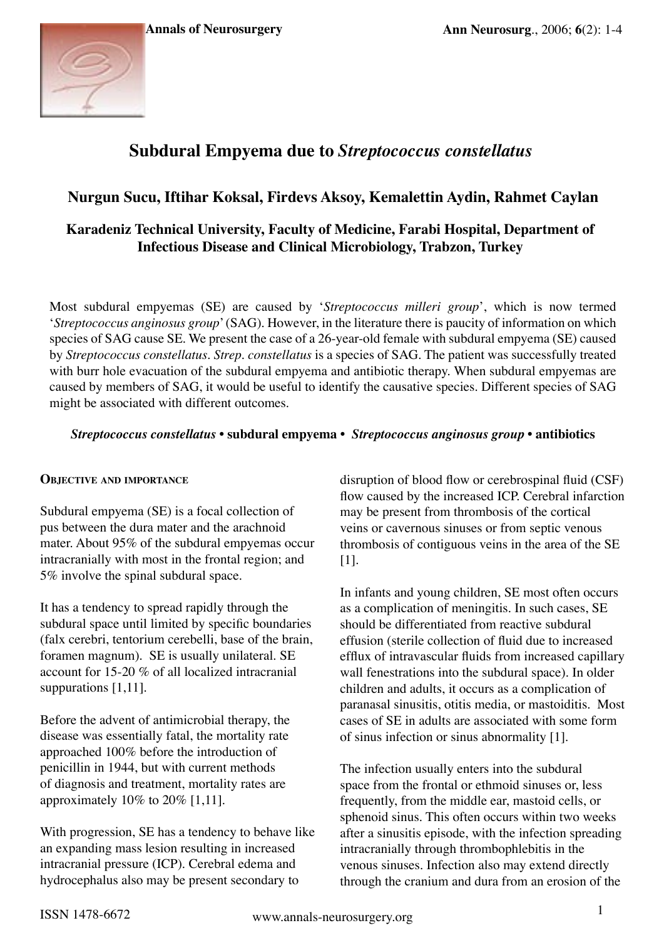

# **Subdural Empyema due to** *Streptococcus constellatus*

## **Nurgun Sucu, Iftihar Koksal, Firdevs Aksoy, Kemalettin Aydin, Rahmet Caylan**

## **Karadeniz Technical University, Faculty of Medicine, Farabi Hospital, Department of Infectious Disease and Clinical Microbiology, Trabzon, Turkey**

Most subdural empyemas (SE) are caused by '*Streptococcus milleri group*', which is now termed '*Streptococcus anginosus group*' (SAG). However, in the literature there is paucity of information on which species of SAG cause SE. We present the case of a 26-year-old female with subdural empyema (SE) caused by *Streptococcus constellatus*. *Strep. constellatus* is a species of SAG. The patient was successfully treated with burr hole evacuation of the subdural empyema and antibiotic therapy. When subdural empyemas are caused by members of SAG, it would be useful to identify the causative species. Different species of SAG might be associated with different outcomes.

## *Streptococcus constellatus* **• subdural empyema •** *Streptococcus anginosus group* **• antibiotics**

#### **Objective and importance**

Subdural empyema (SE) is a focal collection of pus between the dura mater and the arachnoid mater. About 95% of the subdural empyemas occur intracranially with most in the frontal region; and 5% involve the spinal subdural space.

It has a tendency to spread rapidly through the subdural space until limited by specific boundaries (falx cerebri, tentorium cerebelli, base of the brain, foramen magnum). SE is usually unilateral. SE account for 15-20 % of all localized intracranial suppurations [1,11].

Before the advent of antimicrobial therapy, the disease was essentially fatal, the mortality rate approached 100% before the introduction of penicillin in 1944, but with current methods of diagnosis and treatment, mortality rates are approximately  $10\%$  to  $20\%$  [1,11].

With progression, SE has a tendency to behave like an expanding mass lesion resulting in increased intracranial pressure (ICP). Cerebral edema and hydrocephalus also may be present secondary to

disruption of blood flow or cerebrospinal fluid (CSF) flow caused by the increased ICP. Cerebral infarction may be present from thrombosis of the cortical veins or cavernous sinuses or from septic venous thrombosis of contiguous veins in the area of the SE [1].

In infants and young children, SE most often occurs as a complication of meningitis. In such cases, SE should be differentiated from reactive subdural effusion (sterile collection of fluid due to increased efflux of intravascular fluids from increased capillary wall fenestrations into the subdural space). In older children and adults, it occurs as a complication of paranasal sinusitis, otitis media, or mastoiditis. Most cases of SE in adults are associated with some form of sinus infection or sinus abnormality [1].

The infection usually enters into the subdural space from the frontal or ethmoid sinuses or, less frequently, from the middle ear, mastoid cells, or sphenoid sinus. This often occurs within two weeks after a sinusitis episode, with the infection spreading intracranially through thrombophlebitis in the venous sinuses. Infection also may extend directly through the cranium and dura from an erosion of the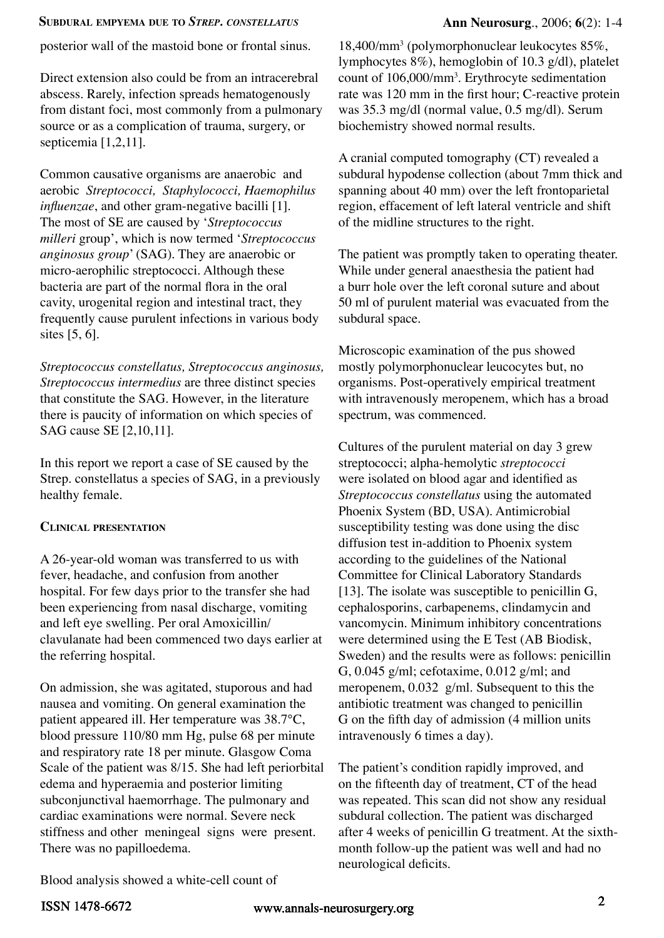#### **Subdural empyema due to** *Strep. constellatus* **Ann Neurosurg**., 2006; **6**(2): 1-4

posterior wall of the mastoid bone or frontal sinus.

Direct extension also could be from an intracerebral abscess. Rarely, infection spreads hematogenously from distant foci, most commonly from a pulmonary source or as a complication of trauma, surgery, or septicemia [1,2,11].

Common causative organisms are anaerobic and aerobic *Streptococci, Staphylococci, Haemophilus influenzae*, and other gram-negative bacilli [1]. The most of SE are caused by '*Streptococcus milleri* group', which is now termed '*Streptococcus anginosus group*' (SAG). They are anaerobic or micro-aerophilic streptococci. Although these bacteria are part of the normal flora in the oral cavity, urogenital region and intestinal tract, they frequently cause purulent infections in various body sites [5, 6].

*Streptococcus constellatus, Streptococcus anginosus, Streptococcus intermedius* are three distinct species that constitute the SAG. However, in the literature there is paucity of information on which species of SAG cause SE [2,10,11].

In this report we report a case of SE caused by the Strep. constellatus a species of SAG, in a previously healthy female.

## **Clinical presentation**

A 26-year-old woman was transferred to us with fever, headache, and confusion from another hospital. For few days prior to the transfer she had been experiencing from nasal discharge, vomiting and left eye swelling. Per oral Amoxicillin/ clavulanate had been commenced two days earlier at the referring hospital.

On admission, she was agitated, stuporous and had nausea and vomiting. On general examination the patient appeared ill. Her temperature was 38.7°C, blood pressure 110/80 mm Hg, pulse 68 per minute and respiratory rate 18 per minute. Glasgow Coma Scale of the patient was 8/15. She had left periorbital edema and hyperaemia and posterior limiting subconjunctival haemorrhage. The pulmonary and cardiac examinations were normal. Severe neck stiffness and other meningeal signs were present. There was no papilloedema.

18,400/mm3 (polymorphonuclear leukocytes 85%, lymphocytes 8%), hemoglobin of 10.3 g/dl), platelet count of 106,000/mm<sup>3</sup>. Erythrocyte sedimentation rate was 120 mm in the first hour; C-reactive protein was 35.3 mg/dl (normal value, 0.5 mg/dl). Serum biochemistry showed normal results.

A cranial computed tomography (CT) revealed a subdural hypodense collection (about 7mm thick and spanning about 40 mm) over the left frontoparietal region, effacement of left lateral ventricle and shift of the midline structures to the right.

The patient was promptly taken to operating theater. While under general anaesthesia the patient had a burr hole over the left coronal suture and about 50 ml of purulent material was evacuated from the subdural space.

Microscopic examination of the pus showed mostly polymorphonuclear leucocytes but, no organisms. Post-operatively empirical treatment with intravenously meropenem, which has a broad spectrum, was commenced.

Cultures of the purulent material on day 3 grew streptococci; alpha-hemolytic *streptococci* were isolated on blood agar and identified as *Streptococcus constellatus* using the automated Phoenix System (BD, USA). Antimicrobial susceptibility testing was done using the disc diffusion test in-addition to Phoenix system according to the guidelines of the National Committee for Clinical Laboratory Standards [13]. The isolate was susceptible to penicillin  $G$ , cephalosporins, carbapenems, clindamycin and vancomycin. Minimum inhibitory concentrations were determined using the E Test (AB Biodisk, Sweden) and the results were as follows: penicillin G, 0.045 g/ml; cefotaxime, 0.012 g/ml; and meropenem, 0.032 g/ml. Subsequent to this the antibiotic treatment was changed to penicillin G on the fifth day of admission (4 million units intravenously 6 times a day).

The patient's condition rapidly improved, and on the fifteenth day of treatment, CT of the head was repeated. This scan did not show any residual subdural collection. The patient was discharged after 4 weeks of penicillin G treatment. At the sixthmonth follow-up the patient was well and had no neurological deficits.

Blood analysis showed a white-cell count of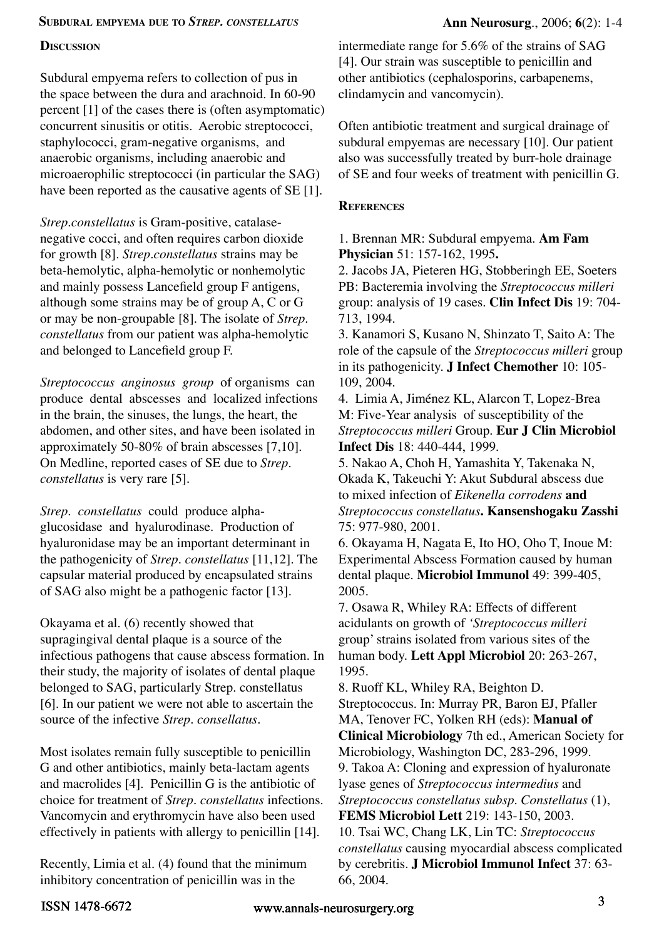#### **Subdural empyema due to** *Strep. constellatus* **Ann Neurosurg**., 2006; **6**(2): 1-4

## **Discussion**

Subdural empyema refers to collection of pus in the space between the dura and arachnoid. In 60-90 percent [1] of the cases there is (often asymptomatic) concurrent sinusitis or otitis. Aerobic streptococci, staphylococci, gram-negative organisms, and anaerobic organisms, including anaerobic and microaerophilic streptococci (in particular the SAG) have been reported as the causative agents of SE [1].

*Strep.constellatus* is Gram-positive, catalasenegative cocci, and often requires carbon dioxide for growth [8]. *Strep.constellatus* strains may be beta-hemolytic, alpha-hemolytic or nonhemolytic and mainly possess Lancefield group F antigens, although some strains may be of group A, C or G or may be non-groupable [8]. The isolate of *Strep. constellatus* from our patient was alpha-hemolytic and belonged to Lancefield group F.

*Streptococcus anginosus group* of organisms can produce dental abscesses and localized infections in the brain, the sinuses, the lungs, the heart, the abdomen, and other sites, and have been isolated in approximately 50-80% of brain abscesses [7,10]. On Medline, reported cases of SE due to *Strep. constellatus* is very rare [5].

*Strep. constellatus* could produce alphaglucosidase and hyalurodinase. Production of hyaluronidase may be an important determinant in the pathogenicity of *Strep. constellatus* [11,12]. The capsular material produced by encapsulated strains of SAG also might be a pathogenic factor [13].

Okayama et al. (6) recently showed that supragingival dental plaque is a source of the infectious pathogens that cause abscess formation. In their study, the majority of isolates of dental plaque belonged to SAG, particularly Strep. constellatus [6]. In our patient we were not able to ascertain the source of the infective *Strep. consellatus*.

Most isolates remain fully susceptible to penicillin G and other antibiotics, mainly beta-lactam agents and macrolides [4]. Penicillin G is the antibiotic of choice for treatment of *Strep. constellatus* infections. Vancomycin and erythromycin have also been used effectively in patients with allergy to penicillin [14].

Recently, Limia et al. (4) found that the minimum inhibitory concentration of penicillin was in the

intermediate range for 5.6% of the strains of SAG [4]. Our strain was susceptible to penicillin and other antibiotics (cephalosporins, carbapenems, clindamycin and vancomycin).

Often antibiotic treatment and surgical drainage of subdural empyemas are necessary [10]. Our patient also was successfully treated by burr-hole drainage of SE and four weeks of treatment with penicillin G.

## **References**

1. Brennan MR: Subdural empyema. **Am Fam Physician** 51: 157-162, 1995**.**

2. Jacobs JA, Pieteren HG, Stobberingh EE, Soeters PB: Bacteremia involving the *Streptococcus milleri* group: analysis of 19 cases. **Clin Infect Dis** 19: 704- 713, 1994.

3. Kanamori S, Kusano N, Shinzato T, Saito A: The role of the capsule of the *Streptococcus milleri* group in its pathogenicity. **J Infect Chemother** 10: 105- 109, 2004.

4. Limia A, Jiménez KL, Alarcon T, Lopez-Brea M: Five-Year analysis of susceptibility of the *Streptococcus milleri* Group. **Eur J Clin Microbiol Infect Dis** 18: 440-444, 1999.

5. Nakao A, Choh H, Yamashita Y, Takenaka N, Okada K, Takeuchi Y: Akut Subdural abscess due to mixed infection of *Eikenella corrodens* **and**  *Streptococcus constellatus***. Kansenshogaku Zasshi**  75: 977-980, 2001.

6. Okayama H, Nagata E, Ito HO, Oho T, Inoue M: Experimental Abscess Formation caused by human dental plaque. **Microbiol Immunol** 49: 399-405, 2005.

7. Osawa R, Whiley RA: Effects of different acidulants on growth of *'Streptococcus milleri* group' strains isolated from various sites of the human body. **Lett Appl Microbiol** 20: 263-267, 1995.

8. Ruoff KL, Whiley RA, Beighton D. Streptococcus. In: Murray PR, Baron EJ, Pfaller MA, Tenover FC, Yolken RH (eds): **Manual of Clinical Microbiology** 7th ed., American Society for Microbiology, Washington DC, 283-296, 1999. 9. Takoa A: Cloning and expression of hyaluronate lyase genes of *Streptococcus intermedius* and *Streptococcus constellatus subsp. Constellatus* (1), **FEMS Microbiol Lett** 219: 143-150, 2003. 10. Tsai WC, Chang LK, Lin TC: *Streptococcus constellatus* causing myocardial abscess complicated by cerebritis. **J Microbiol Immunol Infect** 37: 63- 66, 2004.